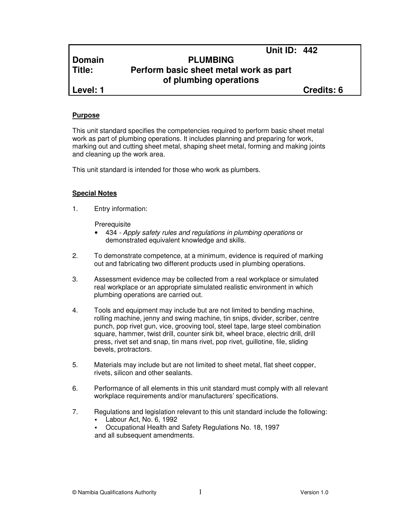# **Domain PLUMBING Title: Perform basic sheet metal work as part of plumbing operations**

**Level: 1 Credits: 6**

**Unit ID: 442** 

## **Purpose**

This unit standard specifies the competencies required to perform basic sheet metal work as part of plumbing operations. It includes planning and preparing for work, marking out and cutting sheet metal, shaping sheet metal, forming and making joints and cleaning up the work area.

This unit standard is intended for those who work as plumbers.

#### **Special Notes**

1. Entry information:

**Prerequisite** 

- 434 Apply safety rules and regulations in plumbing operations or demonstrated equivalent knowledge and skills.
- 2. To demonstrate competence, at a minimum, evidence is required of marking out and fabricating two different products used in plumbing operations.
- 3. Assessment evidence may be collected from a real workplace or simulated real workplace or an appropriate simulated realistic environment in which plumbing operations are carried out.
- 4. Tools and equipment may include but are not limited to bending machine, rolling machine, jenny and swing machine, tin snips, divider, scriber, centre punch, pop rivet gun, vice, grooving tool, steel tape, large steel combination square, hammer, twist drill, counter sink bit, wheel brace, electric drill, drill press, rivet set and snap, tin mans rivet, pop rivet, guillotine, file, sliding bevels, protractors.
- 5. Materials may include but are not limited to sheet metal, flat sheet copper, rivets, silicon and other sealants.
- 6. Performance of all elements in this unit standard must comply with all relevant workplace requirements and/or manufacturers' specifications.
- 7. Regulations and legislation relevant to this unit standard include the following:
	- Labour Act, No. 6, 1992
	- Occupational Health and Safety Regulations No. 18, 1997 and all subsequent amendments.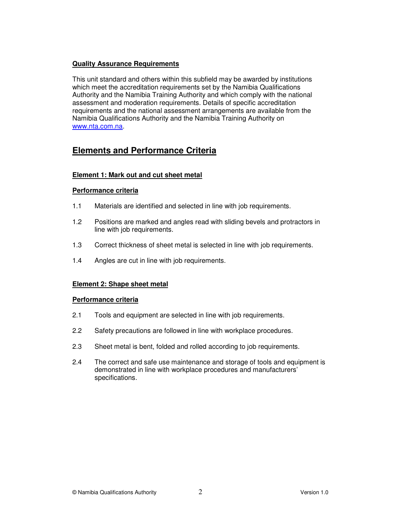## **Quality Assurance Requirements**

This unit standard and others within this subfield may be awarded by institutions which meet the accreditation requirements set by the Namibia Qualifications Authority and the Namibia Training Authority and which comply with the national assessment and moderation requirements. Details of specific accreditation requirements and the national assessment arrangements are available from the Namibia Qualifications Authority and the Namibia Training Authority on www.nta.com.na.

# **Elements and Performance Criteria**

## **Element 1: Mark out and cut sheet metal**

## **Performance criteria**

- 1.1 Materials are identified and selected in line with job requirements.
- 1.2 Positions are marked and angles read with sliding bevels and protractors in line with job requirements.
- 1.3 Correct thickness of sheet metal is selected in line with job requirements.
- 1.4 Angles are cut in line with job requirements.

## **Element 2: Shape sheet metal**

#### **Performance criteria**

- 2.1 Tools and equipment are selected in line with job requirements.
- 2.2 Safety precautions are followed in line with workplace procedures.
- 2.3 Sheet metal is bent, folded and rolled according to job requirements.
- 2.4 The correct and safe use maintenance and storage of tools and equipment is demonstrated in line with workplace procedures and manufacturers' specifications.